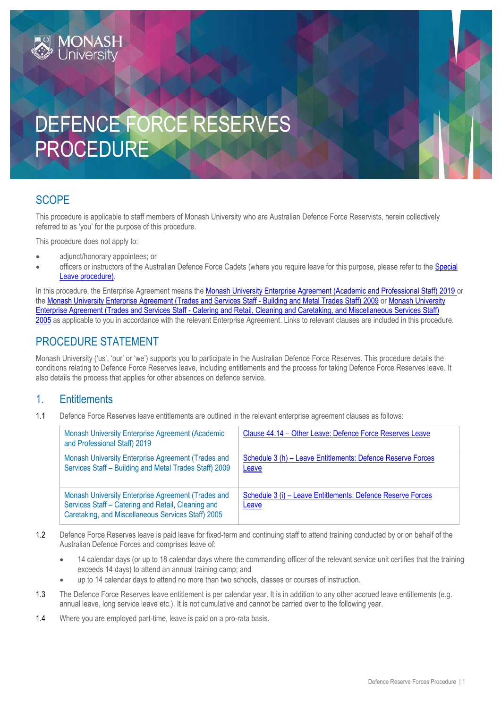# DEFENCE FORCE RESERVES PROCEDURE

### **SCOPE**

This procedure is applicable to staff members of Monash University who are Australian Defence Force Reservists, herein collectively referred to as 'you' for the purpose of this procedure.

This procedure does not apply to:

- adjunct/honorary appointees; or
- officers or instructors of the Australian Defence Force Cadets (where you require leave for this purpose, please refer to the [Special](https://publicpolicydms.monash.edu/Monash/documents/1935720)  [Leave procedure\)](https://publicpolicydms.monash.edu/Monash/documents/1935720).

In this procedure, the Enterprise Agreement means the [Monash University Enterprise Agreement \(Academic and Professional Staff\) 2019](https://www.monash.edu/current-enterprise-agreements/academic-professional-2019) or the [Monash University Enterprise Agreement \(Trades and Services Staff -](https://www.monash.edu/current-enterprise-agreements/trades-services-bmt-2009/03) Building and Metal Trades Staff) 2009 or [Monash University](https://www.monash.edu/current-enterprise-agreements/trades-services-crccm-2005)  Enterprise Agreement (Trades and Services Staff - [Catering and Retail, Cleaning and Caretaking, and Miscellaneous Services Staff\)](https://www.monash.edu/current-enterprise-agreements/trades-services-crccm-2005)  [2005](https://www.monash.edu/current-enterprise-agreements/trades-services-crccm-2005) as applicable to you in accordance with the relevant Enterprise Agreement. Links to relevant clauses are included in this procedure.

## PROCEDURE STATEMENT

Monash University ('us', 'our' or 'we') supports you to participate in the Australian Defence Force Reserves. This procedure details the conditions relating to Defence Force Reserves leave, including entitlements and the process for taking Defence Force Reserves leave. It also details the process that applies for other absences on defence service.

#### 1. Entitlements

1.1 Defence Force Reserves leave entitlements are outlined in the relevant enterprise agreement clauses as follows:

| Monash University Enterprise Agreement (Academic<br>and Professional Staff) 2019                                                                               | Clause 44.14 - Other Leave: Defence Force Reserves Leave             |
|----------------------------------------------------------------------------------------------------------------------------------------------------------------|----------------------------------------------------------------------|
| Monash University Enterprise Agreement (Trades and<br>Services Staff - Building and Metal Trades Staff) 2009                                                   | Schedule 3 (h) – Leave Entitlements: Defence Reserve Forces<br>Leave |
| Monash University Enterprise Agreement (Trades and<br>Services Staff - Catering and Retail, Cleaning and<br>Caretaking, and Miscellaneous Services Staff) 2005 | Schedule 3 (i) - Leave Entitlements: Defence Reserve Forces<br>Leave |

- 1.2 Defence Force Reserves leave is paid leave for fixed-term and continuing staff to attend training conducted by or on behalf of the Australian Defence Forces and comprises leave of:
	- 14 calendar days (or up to 18 calendar days where the commanding officer of the relevant service unit certifies that the training exceeds 14 days) to attend an annual training camp; and
	- up to 14 calendar days to attend no more than two schools, classes or courses of instruction.
- 1.3 The Defence Force Reserves leave entitlement is per calendar year. It is in addition to any other accrued leave entitlements (e.g. annual leave, long service leave etc.). It is not cumulative and cannot be carried over to the following year.
- 1.4 Where you are employed part-time, leave is paid on a pro-rata basis.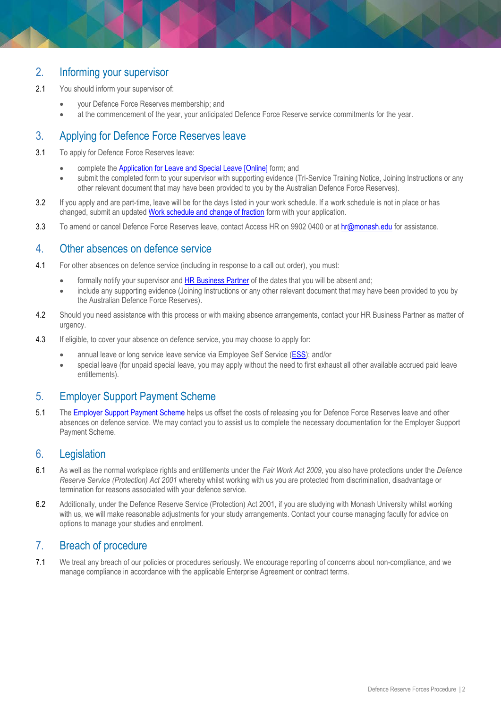# 2. Informing your supervisor

- 2.1 You should inform your supervisor of:
	- your Defence Force Reserves membership; and
	- at the commencement of the year, your anticipated Defence Force Reserve service commitments for the year.

# 3. Applying for Defence Force Reserves leave

- 3.1 To apply for Defence Force Reserves leave:
	- complete th[e Application for Leave and Special Leave \[Online\]](https://www.monash.edu/eforms-resources/frevvo-forms/hr/leave-request) form; and
	- submit the completed form to your supervisor with supporting evidence (Tri-Service Training Notice, Joining Instructions or any other relevant document that may have been provided to you by the Australian Defence Force Reserves).
- 3.2 If you apply and are part-time, leave will be for the days listed in your work schedule. If a work schedule is not in place or has changed, submit an update[d Work schedule and change of fraction](https://www.intranet.monash/hr/tools-and-resources/forms) form with your application.
- 3.3 To amend or cancel Defence Force Reserves leave, contact Access HR on 9902 0400 or at **hr@monash.edu** for assistance.

#### 4. Other absences on defence service

- 4.1 For other absences on defence service (including in response to a call out order), you must:
	- formally notify your supervisor an[d HR Business Partner](https://www.intranet.monash/hr/contact-us/hr-business-partners) of the dates that you will be absent and;
	- include any supporting evidence (Joining Instructions or any other relevant document that may have been provided to you by the Australian Defence Force Reserves).
- 4.2 Should you need assistance with this process or with making absence arrangements, contact your HR Business Partner as matter of urgency.
- 4.3 If eligible, to cover your absence on defence service, you may choose to apply for:
	- annual leave or long service leave service via Employee Self Service [\(ESS\)](http://www.adm.monash.edu.au/sss/ess/); and/or
	- special leave (for unpaid special leave, you may apply without the need to first exhaust all other available accrued paid leave entitlements).

#### 5. Employer Support Payment Scheme

5.1 Th[e Employer Support Payment Scheme](https://www.defencereservessupport.gov.au/benefits/employer-support-payment-scheme/) helps us offset the costs of releasing you for Defence Force Reserves leave and other absences on defence service. We may contact you to assist us to complete the necessary documentation for the Employer Support Payment Scheme.

#### 6. Legislation

- 6.1 As well as the normal workplace rights and entitlements under the *Fair Work Act 2009*, you also have protections under the *Defence Reserve Service (Protection) Act 2001* whereby whilst working with us you are protected from discrimination, disadvantage or termination for reasons associated with your defence service.
- 6.2 Additionally, under the Defence Reserve Service (Protection) Act 2001, if you are studying with Monash University whilst working with us, we will make reasonable adjustments for your study arrangements. Contact your course managing faculty for advice on options to manage your studies and enrolment.

#### 7. Breach of procedure

7.1 We treat any breach of our policies or procedures seriously. We encourage reporting of concerns about non-compliance, and we manage compliance in accordance with the applicable Enterprise Agreement or contract terms.